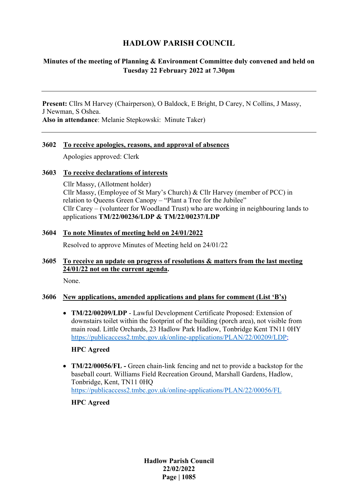# **HADLOW PARISH COUNCIL**

## **Minutes of the meeting of Planning & Environment Committee duly convened and held on Tuesday 22 February 2022 at 7.30pm**

**Present:** Cllrs M Harvey (Chairperson), O Baldock, E Bright, D Carey, N Collins, J Massy, J Newman, S Oshea. **Also in attendance**: Melanie Stepkowski: Minute Taker)

#### **3602 To receive apologies, reasons, and approval of absences**

Apologies approved: Clerk

#### **3603 To receive declarations of interests**

Cllr Massy, (Allotment holder) Cllr Massy, (Employee of St Mary's Church) & Cllr Harvey (member of PCC) in relation to Queens Green Canopy – "Plant a Tree for the Jubilee" Cllr Carey – (volunteer for Woodland Trust) who are working in neighbouring lands to applications **TM/22/00236/LDP & TM/22/00237/LDP**

## **3604 To note Minutes of meeting held on 24/01/2022**

Resolved to approve Minutes of Meeting held on 24/01/22

#### **3605 To receive an update on progress of resolutions & matters from the last meeting 24/01/22 not on the current agenda.**

None.

## **3606 New applications, amended applications and plans for comment (List 'B's)**

• **TM/22/00209/LDP** - Lawful Development Certificate Proposed: Extension of downstairs toilet within the footprint of the building (porch area), not visible from main road. Little Orchards, 23 Hadlow Park Hadlow, Tonbridge Kent TN11 0HY [https://publicaccess2.tmbc.gov.uk/online-applications/PLAN/22/00209/LDP;](https://publicaccess2.tmbc.gov.uk/online-applications/PLAN/22/00209/LDP)

## **HPC Agreed**

• **TM/22/00056/FL -** Green chain-link fencing and net to provide a backstop for the baseball court. Williams Field Recreation Ground, Marshall Gardens, Hadlow, Tonbridge, Kent, TN11 0HQ <https://publicaccess2.tmbc.gov.uk/online-applications/PLAN/22/00056/FL>

**HPC Agreed**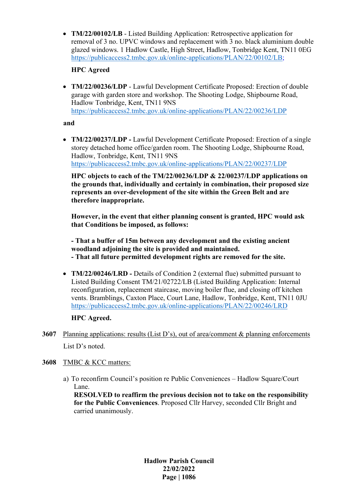• **TM/22/00102/LB** - Listed Building Application: Retrospective application for removal of 3 no. UPVC windows and replacement with 3 no. black aluminium double glazed windows. 1 Hadlow Castle, High Street, Hadlow, Tonbridge Kent, TN11 0EG [https://publicaccess2.tmbc.gov.uk/online-applications/PLAN/22/00102/LB;](https://publicaccess2.tmbc.gov.uk/online-applications/PLAN/22/00102/LB)

## **HPC Agreed**

• **TM/22/00236/LDP** - Lawful Development Certificate Proposed: Erection of double garage with garden store and workshop. The Shooting Lodge, Shipbourne Road, Hadlow Tonbridge, Kent, TN11 9NS <https://publicaccess2.tmbc.gov.uk/online-applications/PLAN/22/00236/LDP>

**and** 

• **TM/22/00237/LDP -** Lawful Development Certificate Proposed: Erection of a single storey detached home office/garden room. The Shooting Lodge, Shipbourne Road, Hadlow, Tonbridge, Kent, TN11 9NS <https://publicaccess2.tmbc.gov.uk/online-applications/PLAN/22/00237/LDP>

**HPC objects to each of the TM/22/00236/LDP & 22/00237/LDP applications on the grounds that, individually and certainly in combination, their proposed size represents an over-development of the site within the Green Belt and are therefore inappropriate.**

**However, in the event that either planning consent is granted, HPC would ask that Conditions be imposed, as follows:**

**- That a buffer of 15m between any development and the existing ancient woodland adjoining the site is provided and maintained. - That all future permitted development rights are removed for the site.**

• **TM/22/00246/LRD -** Details of Condition 2 (external flue) submitted pursuant to Listed Building Consent TM/21/02722/LB (Listed Building Application: Internal reconfiguration, replacement staircase, moving boiler flue, and closing off kitchen vents. Bramblings, Caxton Place, Court Lane, Hadlow, Tonbridge, Kent, TN11 0JU <https://publicaccess2.tmbc.gov.uk/online-applications/PLAN/22/00246/LRD>

**HPC Agreed.**

- **3607** Planning applications: results (List D's), out of area/comment & planning enforcements List D's noted.
- **3608** TMBC & KCC matters:
	- a) To reconfirm Council's position re Public Conveniences Hadlow Square/Court Lane.

**RESOLVED to reaffirm the previous decision not to take on the responsibility for the Public Conveniences**. Proposed Cllr Harvey, seconded Cllr Bright and carried unanimously.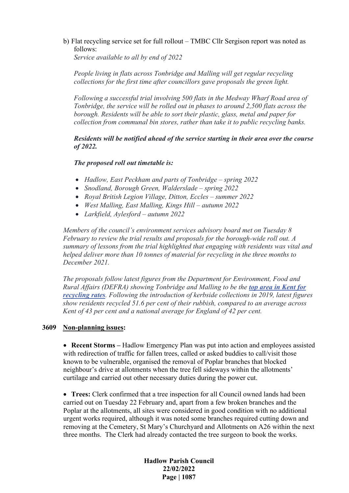b) Flat recycling service set for full rollout – TMBC Cllr Sergison report was noted as follows:

*Service available to all by end of 2022*

*People living in flats across Tonbridge and Malling will get regular recycling collections for the first time after councillors gave proposals the green light.*

*Following a successful trial involving 500 flats in the Medway Wharf Road area of Tonbridge, the service will be rolled out in phases to around 2,500 flats across the borough. Residents will be able to sort their plastic, glass, metal and paper for collection from communal bin stores, rather than take it to public recycling banks.*

*Residents will be notified ahead of the service starting in their area over the course of 2022.*

#### *The proposed roll out timetable is:*

- *Hadlow, East Peckham and parts of Tonbridge – spring 2022*
- *Snodland, Borough Green, Walderslade – spring 2022*
- *Royal British Legion Village, Ditton, Eccles – summer 2022*
- *West Malling, East Malling, Kings Hill – autumn 2022*
- *Larkfield, Aylesford – autumn 2022*

*Members of the council's environment services advisory board met on Tuesday 8 February to review the trial results and proposals for the borough-wide roll out. A summary of lessons from the trial highlighted that engaging with residents was vital and helped deliver more than 10 tonnes of material for recycling in the three months to December 2021.*

*The proposals follow latest figures from the Department for Environment, Food and Rural Affairs (DEFRA) showing Tonbridge and Malling to be the [top area in Kent for](https://www.tmbc.gov.uk/news/article/40/t-m-residents-set-record-recycling-rates)  [recycling rates](https://www.tmbc.gov.uk/news/article/40/t-m-residents-set-record-recycling-rates). Following the introduction of kerbside collections in 2019, latest figures show residents recycled 51.6 per cent of their rubbish, compared to an average across Kent of 43 per cent and a national average for England of 42 per cent.*

#### **3609 Non-planning issues:**

• **Recent Storms –** Hadlow Emergency Plan was put into action and employees assisted with redirection of traffic for fallen trees, called or asked buddies to call/visit those known to be vulnerable, organised the removal of Poplar branches that blocked neighbour's drive at allotments when the tree fell sideways within the allotments' curtilage and carried out other necessary duties during the power cut.

• **Trees:** Clerk confirmed that a tree inspection for all Council owned lands had been carried out on Tuesday 22 February and, apart from a few broken branches and the Poplar at the allotments, all sites were considered in good condition with no additional urgent works required, although it was noted some branches required cutting down and removing at the Cemetery, St Mary's Churchyard and Allotments on A26 within the next three months. The Clerk had already contacted the tree surgeon to book the works.